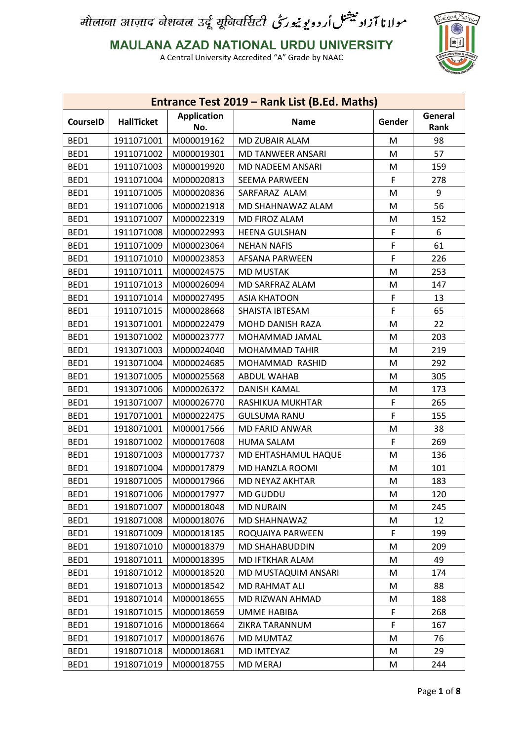

**MAULANA AZAD NATIONAL URDU UNIVERSITY**

|                 |                   |                           | Entrance Test 2019 - Rank List (B.Ed. Maths) |        |                 |
|-----------------|-------------------|---------------------------|----------------------------------------------|--------|-----------------|
| <b>CourseID</b> | <b>HallTicket</b> | <b>Application</b><br>No. | <b>Name</b>                                  | Gender | General<br>Rank |
| BED1            | 1911071001        | M000019162                | MD ZUBAIR ALAM                               | M      | 98              |
| BED1            | 1911071002        | M000019301                | MD TANWEER ANSARI                            | M      | 57              |
| BED1            | 1911071003        | M000019920                | MD NADEEM ANSARI                             | M      | 159             |
| BED1            | 1911071004        | M000020813                | <b>SEEMA PARWEEN</b>                         | F      | 278             |
| BED1            | 1911071005        | M000020836                | SARFARAZ ALAM                                | M      | 9               |
| BED1            | 1911071006        | M000021918                | MD SHAHNAWAZ ALAM                            | M      | 56              |
| BED1            | 1911071007        | M000022319                | MD FIROZ ALAM                                | M      | 152             |
| BED1            | 1911071008        | M000022993                | <b>HEENA GULSHAN</b>                         | F      | 6               |
| BED1            | 1911071009        | M000023064                | <b>NEHAN NAFIS</b>                           | F      | 61              |
| BED1            | 1911071010        | M000023853                | AFSANA PARWEEN                               | F      | 226             |
| BED1            | 1911071011        | M000024575                | <b>MD MUSTAK</b>                             | M      | 253             |
| BED1            | 1911071013        | M000026094                | MD SARFRAZ ALAM                              | M      | 147             |
| BED1            | 1911071014        | M000027495                | <b>ASIA KHATOON</b>                          | F      | 13              |
| BED1            | 1911071015        | M000028668                | SHAISTA IBTESAM                              | F      | 65              |
| BED1            | 1913071001        | M000022479                | MOHD DANISH RAZA                             | M      | 22              |
| BED1            | 1913071002        | M000023777                | MOHAMMAD JAMAL                               | M      | 203             |
| BED1            | 1913071003        | M000024040                | <b>MOHAMMAD TAHIR</b>                        | M      | 219             |
| BED1            | 1913071004        | M000024685                | MOHAMMAD RASHID                              | M      | 292             |
| BED1            | 1913071005        | M000025568                | <b>ABDUL WAHAB</b>                           | M      | 305             |
| BED1            | 1913071006        | M000026372                | <b>DANISH KAMAL</b>                          | M      | 173             |
| BED1            | 1913071007        | M000026770                | RASHIKUA MUKHTAR                             | F      | 265             |
| BED1            | 1917071001        | M000022475                | <b>GULSUMA RANU</b>                          | F      | 155             |
| BED1            | 1918071001        | M000017566                | MD FARID ANWAR                               | M      | 38              |
| BED1            | 1918071002        | M000017608                | <b>HUMA SALAM</b>                            | F      | 269             |
| BED1            | 1918071003        | M000017737                | MD EHTASHAMUL HAQUE                          | M      | 136             |
| BED1            | 1918071004        | M000017879                | MD HANZLA ROOMI                              | M      | 101             |
| BED1            | 1918071005        | M000017966                | MD NEYAZ AKHTAR                              | M      | 183             |
| BED1            | 1918071006        | M000017977                | MD GUDDU                                     | M      | 120             |
| BED1            | 1918071007        | M000018048                | <b>MD NURAIN</b>                             | M      | 245             |
| BED1            | 1918071008        | M000018076                | MD SHAHNAWAZ                                 | M      | 12              |
| BED1            | 1918071009        | M000018185                | ROQUAIYA PARWEEN                             | F      | 199             |
| BED1            | 1918071010        | M000018379                | MD SHAHABUDDIN                               | M      | 209             |
| BED1            | 1918071011        | M000018395                | MD IFTKHAR ALAM                              | M      | 49              |
| BED1            | 1918071012        | M000018520                | MD MUSTAQUIM ANSARI                          | M      | 174             |
| BED1            | 1918071013        | M000018542                | MD RAHMAT ALI                                | M      | 88              |
| BED1            | 1918071014        | M000018655                | MD RIZWAN AHMAD                              | M      | 188             |
| BED1            | 1918071015        | M000018659                | UMME HABIBA                                  | F      | 268             |
| BED1            | 1918071016        | M000018664                | ZIKRA TARANNUM                               | F      | 167             |
| BED1            | 1918071017        | M000018676                | MD MUMTAZ                                    | M      | 76              |
| BED1            | 1918071018        | M000018681                | MD IMTEYAZ                                   | M      | 29              |
| BED1            | 1918071019        | M000018755                | <b>MD MERAJ</b>                              | M      | 244             |
|                 |                   |                           |                                              |        |                 |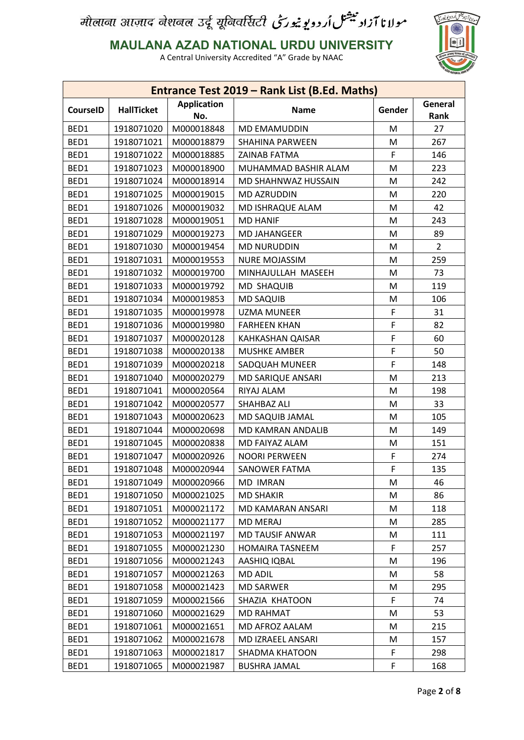

**MAULANA AZAD NATIONAL URDU UNIVERSITY**

|                 |                   |                           | Entrance Test 2019 - Rank List (B.Ed. Maths) |        |                 |
|-----------------|-------------------|---------------------------|----------------------------------------------|--------|-----------------|
| <b>CourseID</b> | <b>HallTicket</b> | <b>Application</b><br>No. | <b>Name</b>                                  | Gender | General<br>Rank |
| BED1            | 1918071020        | M000018848                | <b>MD EMAMUDDIN</b>                          | M      | 27              |
| BED1            | 1918071021        | M000018879                | SHAHINA PARWEEN                              | M      | 267             |
| BED1            | 1918071022        | M000018885                | <b>ZAINAB FATMA</b>                          | F      | 146             |
| BED1            | 1918071023        | M000018900                | MUHAMMAD BASHIR ALAM                         | M      | 223             |
| BED1            | 1918071024        | M000018914                | MD SHAHNWAZ HUSSAIN                          | M      | 242             |
| BED1            | 1918071025        | M000019015                | MD AZRUDDIN                                  | M      | 220             |
| BED1            | 1918071026        | M000019032                | MD ISHRAQUE ALAM                             | M      | 42              |
| BED1            | 1918071028        | M000019051                | <b>MD HANIF</b>                              | M      | 243             |
| BED1            | 1918071029        | M000019273                | <b>MD JAHANGEER</b>                          | M      | 89              |
| BED1            | 1918071030        | M000019454                | <b>MD NURUDDIN</b>                           | M      | $\overline{2}$  |
| BED1            | 1918071031        | M000019553                | <b>NURE MOJASSIM</b>                         | M      | 259             |
| BED1            | 1918071032        | M000019700                | MINHAJULLAH MASEEH                           | M      | 73              |
| BED1            | 1918071033        | M000019792                | MD SHAQUIB                                   | M      | 119             |
| BED1            | 1918071034        | M000019853                | <b>MD SAQUIB</b>                             | M      | 106             |
| BED1            | 1918071035        | M000019978                | <b>UZMA MUNEER</b>                           | F      | 31              |
| BED1            | 1918071036        | M000019980                | <b>FARHEEN KHAN</b>                          | F      | 82              |
| BED1            | 1918071037        | M000020128                | KAHKASHAN QAISAR                             | F      | 60              |
| BED1            | 1918071038        | M000020138                | <b>MUSHKE AMBER</b>                          | F      | 50              |
| BED1            | 1918071039        | M000020218                | SADQUAH MUNEER                               | F      | 148             |
| BED1            | 1918071040        | M000020279                | MD SARIQUE ANSARI                            | M      | 213             |
| BED1            | 1918071041        | M000020564                | RIYAJ ALAM                                   | M      | 198             |
| BED1            | 1918071042        | M000020577                | SHAHBAZ ALI                                  | M      | 33              |
| BED1            | 1918071043        | M000020623                | MD SAQUIB JAMAL                              | M      | 105             |
| BED1            | 1918071044        | M000020698                | MD KAMRAN ANDALIB                            | M      | 149             |
| BED1            | 1918071045        | M000020838                | MD FAIYAZ ALAM                               | M      | 151             |
| BED1            | 1918071047        | M000020926                | <b>NOORI PERWEEN</b>                         | F      | 274             |
| BED1            | 1918071048        | M000020944                | SANOWER FATMA                                | F      | 135             |
| BED1            | 1918071049        | M000020966                | <b>MD IMRAN</b>                              | M      | 46              |
| BED1            | 1918071050        | M000021025                | <b>MD SHAKIR</b>                             | M      | 86              |
| BED1            | 1918071051        | M000021172                | MD KAMARAN ANSARI                            | M      | 118             |
| BED1            | 1918071052        | M000021177                | <b>MD MERAJ</b>                              | M      | 285             |
| BED1            | 1918071053        | M000021197                | <b>MD TAUSIF ANWAR</b>                       | M      | 111             |
| BED1            | 1918071055        | M000021230                | <b>HOMAIRA TASNEEM</b>                       | F      | 257             |
| BED1            | 1918071056        | M000021243                | AASHIQ IQBAL                                 | M      | 196             |
| BED1            | 1918071057        | M000021263                | MD ADIL                                      | M      | 58              |
| BED1            | 1918071058        | M000021423                | <b>MD SARWER</b>                             | Μ      | 295             |
| BED1            | 1918071059        | M000021566                | SHAZIA KHATOON                               | F      | 74              |
| BED1            | 1918071060        | M000021629                | <b>MD RAHMAT</b>                             | M      | 53              |
| BED1            | 1918071061        | M000021651                | MD AFROZ AALAM                               | M      | 215             |
| BED1            | 1918071062        | M000021678                | MD IZRAEEL ANSARI                            | Μ      | 157             |
| BED1            | 1918071063        | M000021817                | SHADMA KHATOON                               | F      | 298             |
| BED1            | 1918071065        | M000021987                | <b>BUSHRA JAMAL</b>                          | F      | 168             |
|                 |                   |                           |                                              |        |                 |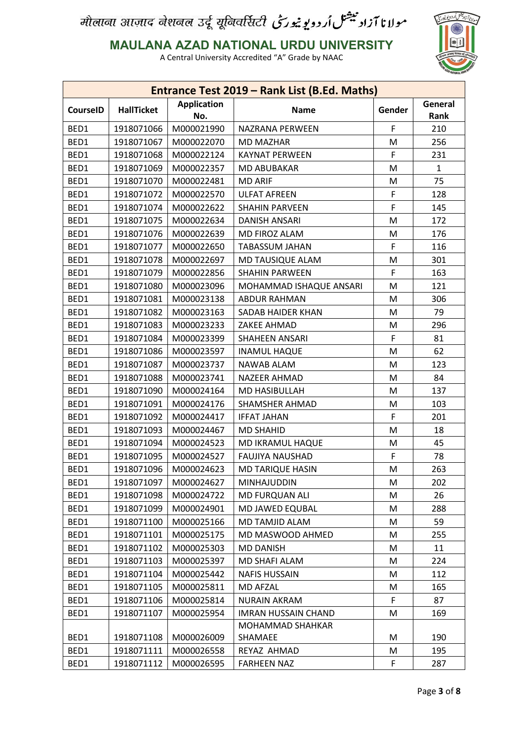

**MAULANA AZAD NATIONAL URDU UNIVERSITY**

|                 |                   |                           | Entrance Test 2019 - Rank List (B.Ed. Maths) |        |                 |
|-----------------|-------------------|---------------------------|----------------------------------------------|--------|-----------------|
| <b>CourseID</b> | <b>HallTicket</b> | <b>Application</b><br>No. | <b>Name</b>                                  | Gender | General<br>Rank |
| BED1            | 1918071066        | M000021990                | NAZRANA PERWEEN                              | F      | 210             |
| BED1            | 1918071067        | M000022070                | <b>MD MAZHAR</b>                             | M      | 256             |
| BED1            | 1918071068        | M000022124                | <b>KAYNAT PERWEEN</b>                        | F      | 231             |
| BED1            | 1918071069        | M000022357                | <b>MD ABUBAKAR</b>                           | M      | $\mathbf{1}$    |
| BED1            | 1918071070        | M000022481                | <b>MD ARIF</b>                               | M      | 75              |
| BED1            | 1918071072        | M000022570                | <b>ULFAT AFREEN</b>                          | F      | 128             |
| BED1            | 1918071074        | M000022622                | <b>SHAHIN PARVEEN</b>                        | F      | 145             |
| BED1            | 1918071075        | M000022634                | <b>DANISH ANSARI</b>                         | M      | 172             |
| BED1            | 1918071076        | M000022639                | MD FIROZ ALAM                                | M      | 176             |
| BED1            | 1918071077        | M000022650                | <b>TABASSUM JAHAN</b>                        | F      | 116             |
| BED1            | 1918071078        | M000022697                | MD TAUSIQUE ALAM                             | M      | 301             |
| BED1            | 1918071079        | M000022856                | <b>SHAHIN PARWEEN</b>                        | F      | 163             |
| BED1            | 1918071080        | M000023096                | MOHAMMAD ISHAQUE ANSARI                      | M      | 121             |
| BED1            | 1918071081        | M000023138                | <b>ABDUR RAHMAN</b>                          | M      | 306             |
| BED1            | 1918071082        | M000023163                | SADAB HAIDER KHAN                            | М      | 79              |
| BED1            | 1918071083        | M000023233                | ZAKEE AHMAD                                  | M      | 296             |
| BED1            | 1918071084        | M000023399                | SHAHEEN ANSARI                               | F      | 81              |
| BED1            | 1918071086        | M000023597                | <b>INAMUL HAQUE</b>                          | M      | 62              |
| BED1            | 1918071087        | M000023737                | NAWAB ALAM                                   | M      | 123             |
| BED1            | 1918071088        | M000023741                | NAZEER AHMAD                                 | M      | 84              |
| BED1            | 1918071090        | M000024164                | MD HASIBULLAH                                | M      | 137             |
| BED1            | 1918071091        | M000024176                | <b>SHAMSHER AHMAD</b>                        | M      | 103             |
| BED1            | 1918071092        | M000024417                | <b>IFFAT JAHAN</b>                           | F      | 201             |
| BED1            | 1918071093        | M000024467                | <b>MD SHAHID</b>                             | M      | 18              |
| BED1            | 1918071094        | M000024523                | MD IKRAMUL HAQUE                             | M      | 45              |
| BED1            | 1918071095        | M000024527                | <b>FAUJIYA NAUSHAD</b>                       | F      | 78              |
| BED1            | 1918071096        | M000024623                | MD TARIQUE HASIN                             | M      | 263             |
| BED1            | 1918071097        | M000024627                | MINHAJUDDIN                                  | M      | 202             |
| BED1            | 1918071098        | M000024722                | MD FURQUAN ALI                               | M      | 26              |
| BED1            | 1918071099        | M000024901                | MD JAWED EQUBAL                              | M      | 288             |
| BED1            | 1918071100        | M000025166                | MD TAMJID ALAM                               | M      | 59              |
| BED1            | 1918071101        | M000025175                | MD MASWOOD AHMED                             | M      | 255             |
| BED1            | 1918071102        | M000025303                | <b>MD DANISH</b>                             | M      | 11              |
| BED1            | 1918071103        | M000025397                | MD SHAFI ALAM                                | M      | 224             |
| BED1            | 1918071104        | M000025442                | <b>NAFIS HUSSAIN</b>                         | M      | 112             |
| BED1            | 1918071105        | M000025811                | <b>MD AFZAL</b>                              | M      | 165             |
| BED1            | 1918071106        | M000025814                | NURAIN AKRAM                                 | F      | 87              |
| BED1            | 1918071107        | M000025954                | <b>IMRAN HUSSAIN CHAND</b>                   | M      | 169             |
|                 |                   |                           | MOHAMMAD SHAHKAR                             |        |                 |
| BED1            | 1918071108        | M000026009                | SHAMAEE                                      | M      | 190             |
| BED1            | 1918071111        | M000026558                | REYAZ AHMAD                                  | M      | 195             |
| BED1            | 1918071112        | M000026595                | <b>FARHEEN NAZ</b>                           | F      | 287             |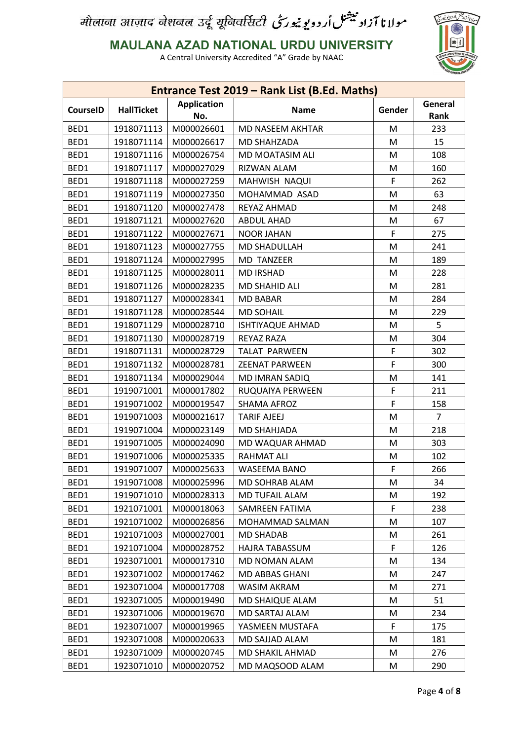

**MAULANA AZAD NATIONAL URDU UNIVERSITY**

|                 |                   |                           | Entrance Test 2019 - Rank List (B.Ed. Maths) |        |                 |
|-----------------|-------------------|---------------------------|----------------------------------------------|--------|-----------------|
| <b>CourseID</b> | <b>HallTicket</b> | <b>Application</b><br>No. | <b>Name</b>                                  | Gender | General<br>Rank |
| BED1            | 1918071113        | M000026601                | MD NASEEM AKHTAR                             | M      | 233             |
| BED1            | 1918071114        | M000026617                | <b>MD SHAHZADA</b>                           | M      | 15              |
| BED1            | 1918071116        | M000026754                | MD MOATASIM ALI                              | M      | 108             |
| BED1            | 1918071117        | M000027029                | RIZWAN ALAM                                  | M      | 160             |
| BED1            | 1918071118        | M000027259                | MAHWISH NAQUI                                | F      | 262             |
| BED1            | 1918071119        | M000027350                | MOHAMMAD ASAD                                | M      | 63              |
| BED1            | 1918071120        | M000027478                | REYAZ AHMAD                                  | M      | 248             |
| BED1            | 1918071121        | M000027620                | <b>ABDUL AHAD</b>                            | M      | 67              |
| BED1            | 1918071122        | M000027671                | <b>NOOR JAHAN</b>                            | F      | 275             |
| BED1            | 1918071123        | M000027755                | MD SHADULLAH                                 | M      | 241             |
| BED1            | 1918071124        | M000027995                | <b>MD TANZEER</b>                            | M      | 189             |
| BED1            | 1918071125        | M000028011                | <b>MD IRSHAD</b>                             | M      | 228             |
| BED1            | 1918071126        | M000028235                | MD SHAHID ALI                                | M      | 281             |
| BED1            | 1918071127        | M000028341                | <b>MD BABAR</b>                              | M      | 284             |
| BED1            | 1918071128        | M000028544                | <b>MD SOHAIL</b>                             | M      | 229             |
| BED1            | 1918071129        | M000028710                | <b>ISHTIYAQUE AHMAD</b>                      | M      | 5               |
| BED1            | 1918071130        | M000028719                | <b>REYAZ RAZA</b>                            | M      | 304             |
| BED1            | 1918071131        | M000028729                | <b>TALAT PARWEEN</b>                         | F      | 302             |
| BED1            | 1918071132        | M000028781                | <b>ZEENAT PARWEEN</b>                        | F      | 300             |
| BED1            | 1918071134        | M000029044                | <b>MD IMRAN SADIQ</b>                        | M      | 141             |
| BED1            | 1919071001        | M000017802                | RUQUAIYA PERWEEN                             | F      | 211             |
| BED1            | 1919071002        | M000019547                | <b>SHAMA AFROZ</b>                           | F      | 158             |
| BED1            | 1919071003        | M000021617                | <b>TARIF AJEEJ</b>                           | M      | $\overline{7}$  |
| BED1            | 1919071004        | M000023149                | MD SHAHJADA                                  | M      | 218             |
| BED1            | 1919071005        | M000024090                | MD WAQUAR AHMAD                              | M      | 303             |
| BED1            | 1919071006        | M000025335                | <b>RAHMAT ALI</b>                            | M      | 102             |
| BED1            | 1919071007        | M000025633                | WASEEMA BANO                                 | F      | 266             |
| BED1            | 1919071008        | M000025996                | MD SOHRAB ALAM                               | М      | 34              |
| BED1            | 1919071010        | M000028313                | MD TUFAIL ALAM                               | M      | 192             |
| BED1            | 1921071001        | M000018063                | SAMREEN FATIMA                               | F      | 238             |
| BED1            | 1921071002        | M000026856                | MOHAMMAD SALMAN                              | M      | 107             |
| BED1            | 1921071003        | M000027001                | <b>MD SHADAB</b>                             | Μ      | 261             |
| BED1            | 1921071004        | M000028752                | HAJRA TABASSUM                               | F      | 126             |
| BED1            | 1923071001        | M000017310                | MD NOMAN ALAM                                | Μ      | 134             |
| BED1            | 1923071002        | M000017462                | MD ABBAS GHANI                               | M      | 247             |
| BED1            | 1923071004        | M000017708                | WASIM AKRAM                                  | Μ      | 271             |
| BED1            | 1923071005        | M000019490                | MD SHAIQUE ALAM                              | M      | 51              |
| BED1            | 1923071006        | M000019670                | MD SARTAJ ALAM                               | M      | 234             |
| BED1            | 1923071007        | M000019965                | YASMEEN MUSTAFA                              | F      | 175             |
| BED1            | 1923071008        | M000020633                | MD SAJJAD ALAM                               | M      | 181             |
| BED1            | 1923071009        | M000020745                | MD SHAKIL AHMAD                              | M      | 276             |
| BED1            | 1923071010        | M000020752                | MD MAQSOOD ALAM                              | M      | 290             |
|                 |                   |                           |                                              |        |                 |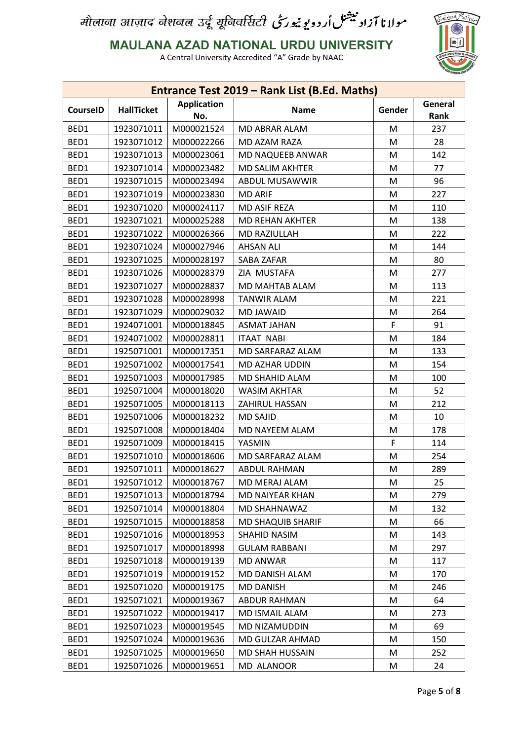

**MAULANA AZAD NATIONAL URDU UNIVERSITY**

|                 |                   |                           | Entrance Test 2019 - Rank List (B.Ed. Maths) |        |                 |
|-----------------|-------------------|---------------------------|----------------------------------------------|--------|-----------------|
| <b>CourseID</b> | <b>HallTicket</b> | <b>Application</b><br>No. | <b>Name</b>                                  | Gender | General<br>Rank |
| BED1            | 1923071011        | M000021524                | MD ABRAR ALAM                                | M      | 237             |
| BED1            | 1923071012        | M000022266                | MD AZAM RAZA                                 | M      | 28              |
| BED1            | 1923071013        | M000023061                | MD NAQUEEB ANWAR                             | M      | 142             |
| BED1            | 1923071014        | M000023482                | <b>MD SALIM AKHTER</b>                       | M      | 77              |
| BED1            | 1923071015        | M000023494                | ABDUL MUSAWWIR                               | M      | 96              |
| BED1            | 1923071019        | M000023830                | <b>MD ARIF</b>                               | M      | 227             |
| BED1            | 1923071020        | M000024117                | <b>MD ASIF REZA</b>                          | M      | 110             |
| BED1            | 1923071021        | M000025288                | <b>MD REHAN AKHTER</b>                       | M      | 138             |
| BED1            | 1923071022        | M000026366                | MD RAZIULLAH                                 | M      | 222             |
| BED1            | 1923071024        | M000027946                | <b>AHSAN ALI</b>                             | M      | 144             |
| BED1            | 1923071025        | M000028197                | SABA ZAFAR                                   | M      | 80              |
| BED1            | 1923071026        | M000028379                | ZIA MUSTAFA                                  | M      | 277             |
| BED1            | 1923071027        | M000028837                | MD MAHTAB ALAM                               | M      | 113             |
| BED1            | 1923071028        | M000028998                | <b>TANWIR ALAM</b>                           | M      | 221             |
| BED1            | 1923071029        | M000029032                | <b>MD JAWAID</b>                             | M      | 264             |
| BED1            | 1924071001        | M000018845                | <b>ASMAT JAHAN</b>                           | F      | 91              |
| BED1            | 1924071002        | M000028811                | <b>ITAAT NABI</b>                            | M      | 184             |
| BED1            | 1925071001        | M000017351                | MD SARFARAZ ALAM                             | M      | 133             |
| BED1            | 1925071002        | M000017541                | MD AZHAR UDDIN                               | M      | 154             |
| BED1            | 1925071003        | M000017985                | MD SHAHID ALAM                               | M      | 100             |
| BED1            | 1925071004        | M000018020                | <b>WASIM AKHTAR</b>                          | M      | 52              |
| BED1            | 1925071005        | M000018113                | ZAHIRUL HASSAN                               | M      | 212             |
| BED1            | 1925071006        | M000018232                | <b>MD SAJID</b>                              | M      | 10              |
| BED1            | 1925071008        | M000018404                | MD NAYEEM ALAM                               | M      | 178             |
| BED1            | 1925071009        | M000018415                | YASMIN                                       | F      | 114             |
| BED1            | 1925071010        | M000018606                | MD SARFARAZ ALAM                             | M      | 254             |
| BED1            | 1925071011        | M000018627                | <b>ABDUL RAHMAN</b>                          | M      | 289             |
| BED1            | 1925071012        | M000018767                | MD MERAJ ALAM                                | M      | 25              |
| BED1            | 1925071013        | M000018794                | MD NAIYEAR KHAN                              | M      | 279             |
| BED1            | 1925071014        | M000018804                | MD SHAHNAWAZ                                 | M      | 132             |
| BED1            | 1925071015        | M000018858                | MD SHAQUIB SHARIF                            | M      | 66              |
| BED1            | 1925071016        | M000018953                | SHAHID NASIM                                 | M      | 143             |
| BED1            | 1925071017        | M000018998                | <b>GULAM RABBANI</b>                         | M      | 297             |
| BED1            | 1925071018        | M000019139                | <b>MD ANWAR</b>                              | Μ      | 117             |
| BED1            | 1925071019        | M000019152                | MD DANISH ALAM                               | M      | 170             |
| BED1            | 1925071020        | M000019175                | <b>MD DANISH</b>                             | Μ      | 246             |
| BED1            | 1925071021        | M000019367                | ABDUR RAHMAN                                 | M      | 64              |
| BED1            | 1925071022        | M000019417                | MD ISMAIL ALAM                               | M      | 273             |
| BED1            | 1925071023        | M000019545                | MD NIZAMUDDIN                                | M      | 69              |
| BED1            | 1925071024        | M000019636                | MD GULZAR AHMAD                              | M      | 150             |
| BED1            | 1925071025        | M000019650                | MD SHAH HUSSAIN                              | M      | 252             |
| BED1            | 1925071026        | M000019651                | MD ALANOOR                                   | M      | 24              |
|                 |                   |                           |                                              |        |                 |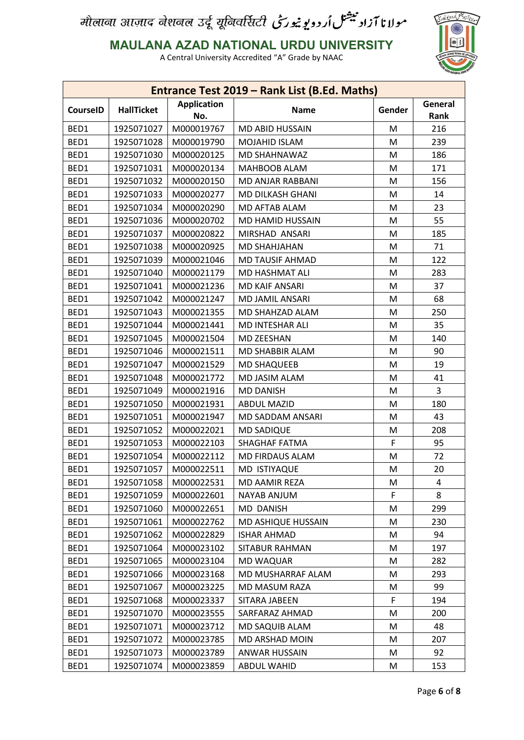

**MAULANA AZAD NATIONAL URDU UNIVERSITY**

|                 |                   |                           | Entrance Test 2019 - Rank List (B.Ed. Maths) |        |                 |
|-----------------|-------------------|---------------------------|----------------------------------------------|--------|-----------------|
| <b>CourseID</b> | <b>HallTicket</b> | <b>Application</b><br>No. | <b>Name</b>                                  | Gender | General<br>Rank |
| BED1            | 1925071027        | M000019767                | MD ABID HUSSAIN                              | M      | 216             |
| BED1            | 1925071028        | M000019790                | MOJAHID ISLAM                                | M      | 239             |
| BED1            | 1925071030        | M000020125                | MD SHAHNAWAZ                                 | M      | 186             |
| BED1            | 1925071031        | M000020134                | <b>MAHBOOB ALAM</b>                          | M      | 171             |
| BED1            | 1925071032        | M000020150                | MD ANJAR RABBANI                             | M      | 156             |
| BED1            | 1925071033        | M000020277                | MD DILKASH GHANI                             | M      | 14              |
| BED1            | 1925071034        | M000020290                | MD AFTAB ALAM                                | M      | 23              |
| BED1            | 1925071036        | M000020702                | MD HAMID HUSSAIN                             | M      | 55              |
| BED1            | 1925071037        | M000020822                | MIRSHAD ANSARI                               | M      | 185             |
| BED1            | 1925071038        | M000020925                | <b>MD SHAHJAHAN</b>                          | M      | 71              |
| BED1            | 1925071039        | M000021046                | <b>MD TAUSIF AHMAD</b>                       | М      | 122             |
| BED1            | 1925071040        | M000021179                | <b>MD HASHMAT ALI</b>                        | M      | 283             |
| BED1            | 1925071041        | M000021236                | <b>MD KAIF ANSARI</b>                        | M      | 37              |
| BED1            | 1925071042        | M000021247                | MD JAMIL ANSARI                              | M      | 68              |
| BED1            | 1925071043        | M000021355                | MD SHAHZAD ALAM                              | M      | 250             |
| BED1            | 1925071044        | M000021441                | MD INTESHAR ALI                              | M      | 35              |
| BED1            | 1925071045        | M000021504                | <b>MD ZEESHAN</b>                            | M      | 140             |
| BED1            | 1925071046        | M000021511                | MD SHABBIR ALAM                              | M      | 90              |
| BED1            | 1925071047        | M000021529                | <b>MD SHAQUEEB</b>                           | M      | 19              |
| BED1            | 1925071048        | M000021772                | MD JASIM ALAM                                | M      | 41              |
| BED1            | 1925071049        | M000021916                | <b>MD DANISH</b>                             | M      | 3               |
| BED1            | 1925071050        | M000021931                | <b>ABDUL MAZID</b>                           | M      | 180             |
| BED1            | 1925071051        | M000021947                | MD SADDAM ANSARI                             | M      | 43              |
| BED1            | 1925071052        | M000022021                | <b>MD SADIQUE</b>                            | M      | 208             |
| BED1            | 1925071053        | M000022103                | <b>SHAGHAF FATMA</b>                         | F      | 95              |
| BED1            | 1925071054        | M000022112                | MD FIRDAUS ALAM                              | M      | 72              |
| BED1            | 1925071057        | M000022511                | MD ISTIYAQUE                                 | M      | 20              |
| BED1            | 1925071058        | M000022531                | MD AAMIR REZA                                | M      | 4               |
| BED1            | 1925071059        | M000022601                | <b>NAYAB ANJUM</b>                           | F      | 8               |
| BED1            | 1925071060        | M000022651                | MD DANISH                                    | Μ      | 299             |
| BED1            | 1925071061        | M000022762                | MD ASHIQUE HUSSAIN                           | M      | 230             |
| BED1            | 1925071062        | M000022829                | <b>ISHAR AHMAD</b>                           | Μ      | 94              |
| BED1            | 1925071064        | M000023102                | SITABUR RAHMAN                               | M      | 197             |
| BED1            | 1925071065        | M000023104                | <b>MD WAQUAR</b>                             | M      | 282             |
| BED1            | 1925071066        | M000023168                | MD MUSHARRAF ALAM                            | M      | 293             |
| BED1            | 1925071067        | M000023225                | MD MASUM RAZA                                | Μ      | 99              |
| BED1            | 1925071068        | M000023337                | SITARA JABEEN                                | F      | 194             |
| BED1            | 1925071070        | M000023555                | SARFARAZ AHMAD                               | M      | 200             |
| BED1            | 1925071071        | M000023712                | MD SAQUIB ALAM                               | M      | 48              |
| BED1            | 1925071072        | M000023785                | MD ARSHAD MOIN                               | M      | 207             |
| BED1            | 1925071073        | M000023789                | <b>ANWAR HUSSAIN</b>                         | M      | 92              |
| BED1            | 1925071074        | M000023859                | ABDUL WAHID                                  | M      | 153             |
|                 |                   |                           |                                              |        |                 |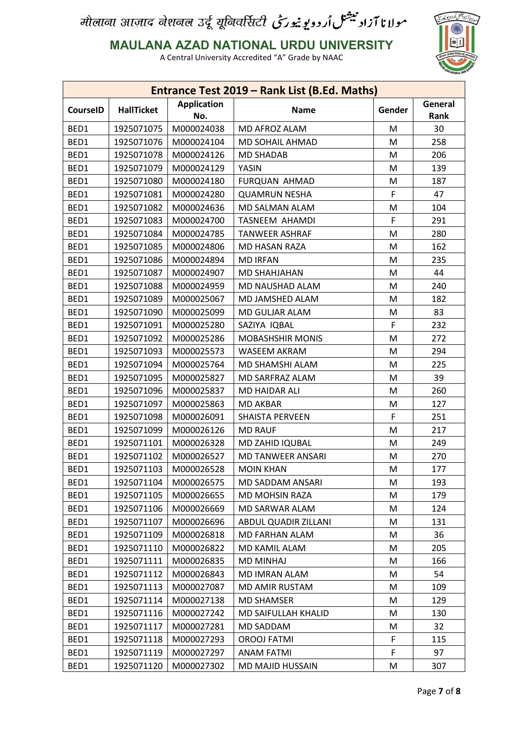

**MAULANA AZAD NATIONAL URDU UNIVERSITY**

|                 |                   |                           | Entrance Test 2019 - Rank List (B.Ed. Maths) |        |                 |
|-----------------|-------------------|---------------------------|----------------------------------------------|--------|-----------------|
| <b>CourseID</b> | <b>HallTicket</b> | <b>Application</b><br>No. | <b>Name</b>                                  | Gender | General<br>Rank |
| BED1            | 1925071075        | M000024038                | MD AFROZ ALAM                                | M      | 30              |
| BED1            | 1925071076        | M000024104                | MD SOHAIL AHMAD                              | M      | 258             |
| BED1            | 1925071078        | M000024126                | <b>MD SHADAB</b>                             | M      | 206             |
| BED1            | 1925071079        | M000024129                | YASIN                                        | M      | 139             |
| BED1            | 1925071080        | M000024180                | FURQUAN AHMAD                                | M      | 187             |
| BED1            | 1925071081        | M000024280                | <b>QUAMRUN NESHA</b>                         | F      | 47              |
| BED1            | 1925071082        | M000024636                | MD SALMAN ALAM                               | M      | 104             |
| BED1            | 1925071083        | M000024700                | TASNEEM AHAMDI                               | F      | 291             |
| BED1            | 1925071084        | M000024785                | <b>TANWEER ASHRAF</b>                        | M      | 280             |
| BED1            | 1925071085        | M000024806                | MD HASAN RAZA                                | M      | 162             |
| BED1            | 1925071086        | M000024894                | <b>MD IRFAN</b>                              | M      | 235             |
| BED1            | 1925071087        | M000024907                | <b>MD SHAHJAHAN</b>                          | M      | 44              |
| BED1            | 1925071088        | M000024959                | MD NAUSHAD ALAM                              | M      | 240             |
| BED1            | 1925071089        | M000025067                | MD JAMSHED ALAM                              | M      | 182             |
| BED1            | 1925071090        | M000025099                | MD GULJAR ALAM                               | M      | 83              |
| BED1            | 1925071091        | M000025280                | SAZIYA IQBAL                                 | F      | 232             |
| BED1            | 1925071092        | M000025286                | <b>MOBASHSHIR MONIS</b>                      | M      | 272             |
| BED1            | 1925071093        | M000025573                | WASEEM AKRAM                                 | M      | 294             |
| BED1            | 1925071094        | M000025764                | MD SHAMSHI ALAM                              | M      | 225             |
| BED1            | 1925071095        | M000025827                | MD SARFRAZ ALAM                              | M      | 39              |
| BED1            | 1925071096        | M000025837                | <b>MD HAIDAR ALI</b>                         | M      | 260             |
| BED1            | 1925071097        | M000025863                | <b>MD AKBAR</b>                              | M      | 127             |
| BED1            | 1925071098        | M000026091                | <b>SHAISTA PERVEEN</b>                       | F      | 251             |
| BED1            | 1925071099        | M000026126                | <b>MD RAUF</b>                               | M      | 217             |
| BED1            | 1925071101        | M000026328                | MD ZAHID IQUBAL                              | M      | 249             |
| BED1            | 1925071102        | M000026527                | MD TANWEER ANSARI                            | M      | 270             |
| BED1            | 1925071103        | M000026528                | <b>MOIN KHAN</b>                             | M      | 177             |
| BED1            | 1925071104        | M000026575                | MD SADDAM ANSARI                             | M      | 193             |
| BED1            | 1925071105        | M000026655                | MD MOHSIN RAZA                               | M      | 179             |
| BED1            | 1925071106        | M000026669                | MD SARWAR ALAM                               | M      | 124             |
| BED1            | 1925071107        | M000026696                | ABDUL QUADIR ZILLANI                         | M      | 131             |
| BED1            | 1925071109        | M000026818                | MD FARHAN ALAM                               | M      | 36              |
| BED1            | 1925071110        | M000026822                | MD KAMIL ALAM                                | M      | 205             |
| BED1            | 1925071111        | M000026835                | <b>MD MINHAJ</b>                             | Μ      | 166             |
| BED1            | 1925071112        | M000026843                | MD IMRAN ALAM                                | M      | 54              |
| BED1            | 1925071113        | M000027087                | MD AMIR RUSTAM                               | Μ      | 109             |
| BED1            | 1925071114        | M000027138                | <b>MD SHAMSER</b>                            | M      | 129             |
| BED1            | 1925071116        | M000027242                | MD SAIFULLAH KHALID                          | Μ      | 130             |
| BED1            | 1925071117        | M000027281                | MD SADDAM                                    | M      | 32              |
| BED1            | 1925071118        | M000027293                | <b>OROOJ FATMI</b>                           | F      | 115             |
| BED1            | 1925071119        | M000027297                | <b>ANAM FATMI</b>                            | F      | 97              |
| BED1            | 1925071120        | M000027302                | MD MAJID HUSSAIN                             | M      | 307             |
|                 |                   |                           |                                              |        |                 |